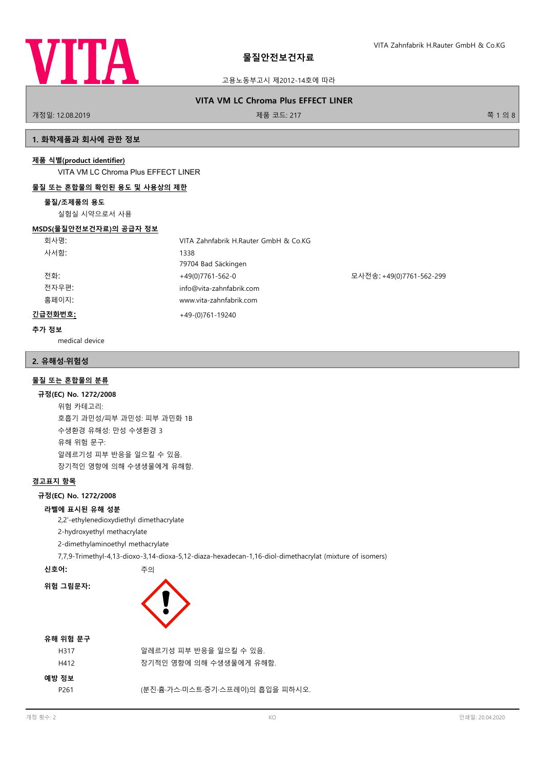

고용노동부고시 제2012-14호에 따라

# **VITA VM LC Chroma Plus EFFECT LINER**

개정일: 12.08.2019 제품 코드: 217 쪽 1 의 8

# **1. 화학제품과 회사에 관한 정보**

# **제품 식별(product identifier)**

VITA VM LC Chroma Plus EFFECT LINER

# **물질 또는 혼합물의 확인된 용도 및 사용상의 제한**

# **물질/조제품의 용도**

실험실 시약으로서 사용

## **MSDS(물질안전보건자료)의 공급자 정보**

| 회사명:    | VITA Zahnfabrik H.Rauter GmbH & Co.KG |                          |
|---------|---------------------------------------|--------------------------|
| 사서함:    | 1338                                  |                          |
|         | 79704 Bad Säckingen                   |                          |
| 전화:     | +49(0)7761-562-0                      | 모사전송: +49(0)7761-562-299 |
| 전자우편:   | info@vita-zahnfabrik.com              |                          |
| 홈페이지:   | www.vita-zahnfabrik.com               |                          |
| 긴급전화번호: | $+49-(0)761-19240$                    |                          |

# **추가 정보**

medical device

# **2. 유해성·위험성**

# **물질 또는 혼합물의 분류**

#### **규정(EC) No. 1272/2008**

위험 카테고리: 호흡기 과민성/피부 과민성: 피부 과민화 1B 수생환경 유해성: 만성 수생환경 3 유해 위험 문구: 알레르기성 피부 반응을 일으킬 수 있음. 장기적인 영향에 의해 수생생물에게 유해함.

# **경고표지 항목**

# **규정(EC) No. 1272/2008**

# **라벨에 표시된 유해 성분**

2,2'-ethylenedioxydiethyl dimethacrylate

2-hydroxyethyl methacrylate

2-dimethylaminoethyl methacrylate

7,7,9-Trimethyl-4,13-dioxo-3,14-dioxa-5,12-diaza-hexadecan-1,16-diol-dimethacrylat (mixture of isomers)

**신호어:** 주의

# **위험 그림문자:**



| 알레르기성 피부 반응을 일으킬 수 있음.           |
|----------------------------------|
| 장기적인 영향에 의해 수생생물에게 유해함.          |
|                                  |
| (분진·흄·가스·미스트·증기·스프레이)의 흡입을 피하시오. |
|                                  |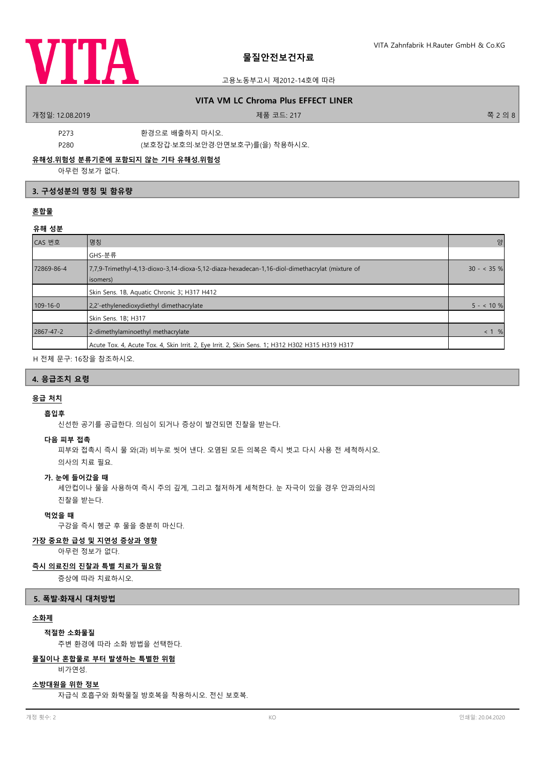

## 고용노동부고시 제2012-14호에 따라

# **VITA VM LC Chroma Plus EFFECT LINER**

.<br>개정일: 12.08.2019 제품 코드: 217 전 - 217 전 - 217 전 - 217 전 - 217 전 - 217 전 - 217 전 - 218 8 - 218 8 - 218 8 - 218 8 -

P273 환경으로 배출하지 마시오.

P280 (보호장갑·보호의·보안경·안면보호구)를(을) 착용하시오.

# **유해성.위험성 분류기준에 포함되지 않는 기타 유해성.위험성**

아무런 정보가 없다.

# **3. 구성성분의 명칭 및 함유량**

# **혼합물**

# **유해 성분**

| CAS 번호         | 명칭                                                                                                         | 양            |
|----------------|------------------------------------------------------------------------------------------------------------|--------------|
|                | GHS-분류                                                                                                     |              |
| 72869-86-4     | 7,7,9-Trimethyl-4,13-dioxo-3,14-dioxa-5,12-diaza-hexadecan-1,16-diol-dimethacrylat (mixture of<br>isomers) | $30 - 35 \%$ |
|                | Skin Sens. 1B, Aquatic Chronic 3; H317 H412                                                                |              |
| $109 - 16 - 0$ | 2,2'-ethylenedioxydiethyl dimethacrylate                                                                   | $5 - 10 \%$  |
|                | Skin Sens. 1B; H317                                                                                        |              |
| 2867-47-2      | 2-dimethylaminoethyl methacrylate                                                                          | < 1 %        |
|                | Acute Tox. 4, Acute Tox. 4, Skin Irrit. 2, Eye Irrit. 2, Skin Sens. 1; H312 H302 H315 H319 H317            |              |

H 전체 문구: 16장을 참조하시오.

## **4. 응급조치 요령**

# **응급 처치**

# **흡입후**

신선한 공기를 공급한다. 의심이 되거나 증상이 발견되면 진찰을 받는다.

#### **다음 피부 접촉**

피부와 접촉시 즉시 물 와(과) 비누로 씻어 낸다. 오염된 모든 의복은 즉시 벗고 다시 사용 전 세척하시오. 의사의 치료 필요.

# **가. 눈에 들어갔을 때**

세안컵이나 물을 사용하여 즉시 주의 깊게, 그리고 철저하게 세척한다. 눈 자극이 있을 경우 안과의사의 진찰을 받는다.

#### **먹었을 때**

구강을 즉시 헹군 후 물을 충분히 마신다.

# **가장 중요한 급성 및 지연성 증상과 영향**

아무런 정보가 없다.

# **즉시 의료진의 진찰과 특별 치료가 필요함**

증상에 따라 치료하시오.

#### **5. 폭발·화재시 대처방법**

# **소화제**

**적절한 소화물질**

주변 환경에 따라 소화 방법을 선택한다.

# **물질이나 혼합물로 부터 발생하는 특별한 위험**

비가연성.

# **소방대원을 위한 정보**

자급식 호흡구와 화학물질 방호복을 착용하시오. 전신 보호복.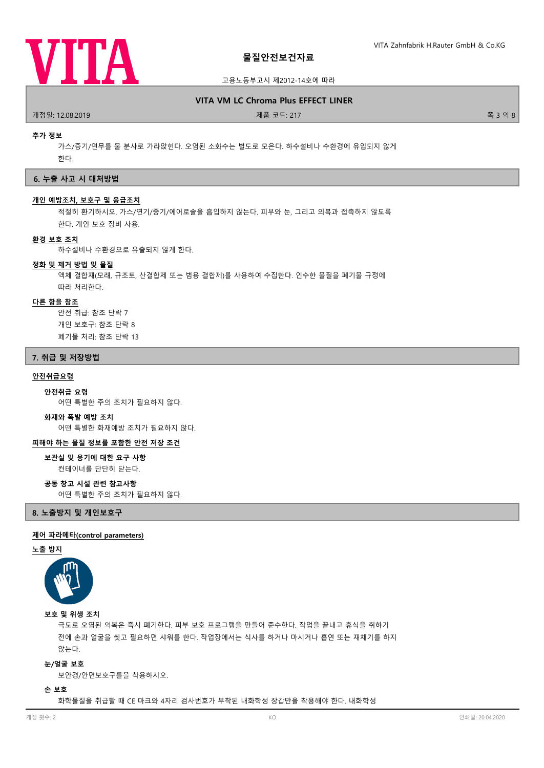

고용노동부고시 제2012-14호에 따라

# **VITA VM LC Chroma Plus EFFECT LINER**

.<br>개정일: 12.08.2019 제품 코드: 217 전 - 217 전 - 217 전 - 217 전 - 217 전 - 217 전 - 217 전 - 217 전 - 218 전 - 218 전 - 218 전 -

#### **추가 정보**

가스/증기/연무를 물 분사로 가라앉힌다. 오염된 소화수는 별도로 모은다. 하수설비나 수환경에 유입되지 않게 한다.

#### **6. 누출 사고 시 대처방법**

## **개인 예방조치, 보호구 및 응급조치**

적절히 환기하시오. 가스/연기/증기/에어로솔을 흡입하지 않는다. 피부와 눈, 그리고 의복과 접촉하지 않도록 한다. 개인 보호 장비 사용.

#### **환경 보호 조치**

하수설비나 수환경으로 유출되지 않게 한다.

# **정화 및 제거 방법 및 물질**

액체 결합재(모래, 규조토, 산결합제 또는 범용 결합제)를 사용하여 수집한다. 인수한 물질을 폐기물 규정에 따라 처리한다.

### **다른 항을 참조**

안전 취급: 참조 단락 7 개인 보호구: 참조 단락 8 폐기물 처리: 참조 단락 13

#### **7. 취급 및 저장방법**

#### **안전취급요령**

#### **안전취급 요령**

어떤 특별한 주의 조치가 필요하지 않다.

#### **화재와 폭발 예방 조치**

어떤 특별한 화재예방 조치가 필요하지 않다.

#### **피해야 하는 물질 정보를 포함한 안전 저장 조건**

# **보관실 및 용기에 대한 요구 사항**

컨테이너를 단단히 닫는다.

# **공동 창고 시설 관련 참고사항**

어떤 특별한 주의 조치가 필요하지 않다.

**8. 노출방지 및 개인보호구**

#### **제어 파라메타(control parameters)**

#### **노출 방지**



#### **보호 및 위생 조치**

극도로 오염된 의복은 즉시 폐기한다. 피부 보호 프로그램을 만들어 준수한다. 작업을 끝내고 휴식을 취하기 전에 손과 얼굴을 씻고 필요하면 샤워를 한다. 작업장에서는 식사를 하거나 마시거나 흡연 또는 재채기를 하지 않는다.

## **눈/얼굴 보호**

보안경/안면보호구를을 착용하시오.

## **손 보호**

화학물질을 취급할 때 CE 마크와 4자리 검사번호가 부착된 내화학성 장갑만을 착용해야 한다. 내화학성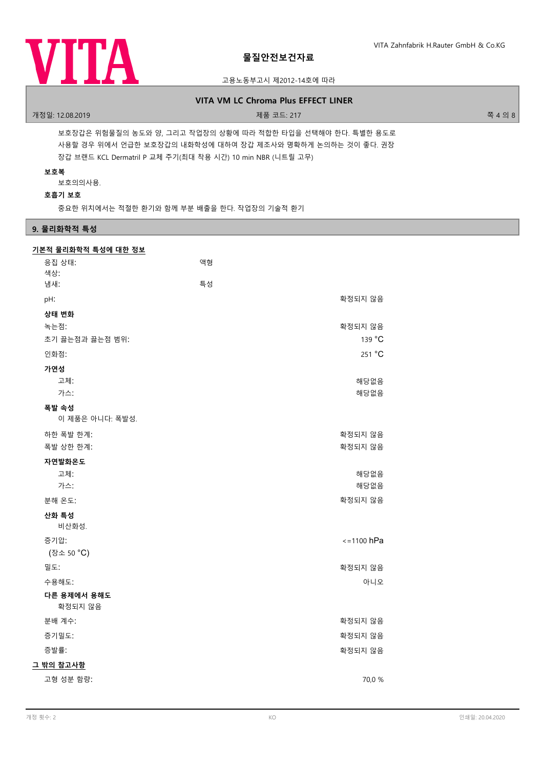

# 고용노동부고시 제2012-14호에 따라

# **VITA VM LC Chroma Plus EFFECT LINER**

## 개정일: 12.08.2019 제품 코드: 217 쪽 4 의 8

보호장갑은 위험물질의 농도와 양, 그리고 작업장의 상황에 따라 적합한 타입을 선택해야 한다. 특별한 용도로 사용할 경우 위에서 언급한 보호장갑의 내화학성에 대하여 장갑 제조사와 명확하게 논의하는 것이 좋다. 권장 장갑 브랜드 KCL Dermatril P 교체 주기(최대 착용 시간) 10 min NBR (니트릴 고무)

# **보호복**

보호의의사용.

# **호흡기 보호**

중요한 위치에서는 적절한 환기와 함께 부분 배출을 한다. 작업장의 기술적 환기

# **9. 물리화학적 특성**

| 응집 상태:<br>색상:            | 액형 |                 |
|--------------------------|----|-----------------|
| 냄새:                      | 특성 |                 |
| pH:                      |    | 확정되지 않음         |
| 상태 변화<br>녹는점:            |    | 확정되지 않음         |
| 초기 끓는점과 끓는점 범위:          |    | 139 °C          |
| 인화점:                     |    | 251 °C          |
| 가연성<br>고체:<br>가스:        |    | 해당없음<br>해당없음    |
| 폭발 속성<br>이 제품은 아니다: 폭발성. |    |                 |
| 하한 폭발 한계:                |    | 확정되지 않음         |
| 폭발 상한 한계:                |    | 확정되지 않음         |
| 자연발화온도                   |    |                 |
| 고체:                      |    | 해당없음            |
| 가스:                      |    | 해당없음<br>확정되지 않음 |
| 분해 온도:                   |    |                 |
| 산화 특성<br>비산화성.           |    |                 |
| 증기압:                     |    | $\le$ =1100 hPa |
| (장소 50 °C)               |    |                 |
| 밀도:                      |    | 확정되지 않음         |
| 수용해도:                    |    | 아니오             |
| 다른 용제에서 용해도<br>확정되지 않음   |    |                 |
| 분배 계수:                   |    | 확정되지 않음         |
| 증기밀도:                    |    | 확정되지 않음         |
| 증발률:                     |    | 확정되지 않음         |
| 그 밖의 참고사항                |    |                 |
| 고형 성분 함량:                |    | 70,0 %          |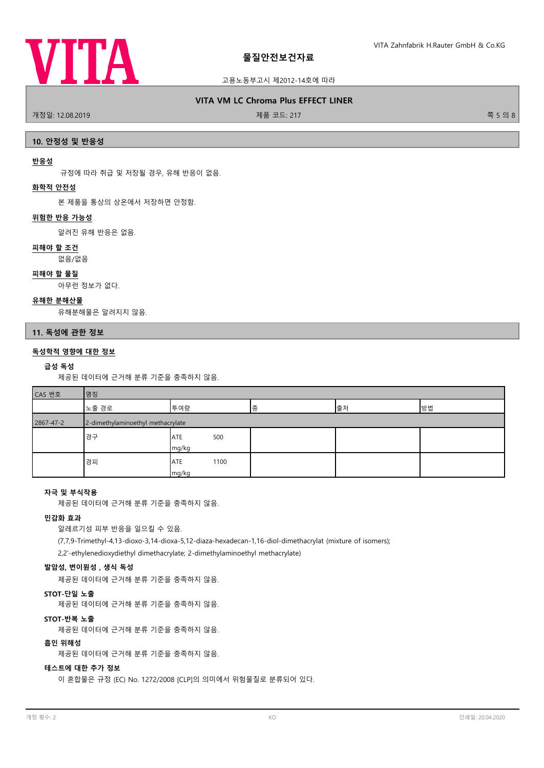

# 고용노동부고시 제2012-14호에 따라

# **VITA VM LC Chroma Plus EFFECT LINER**

.<br>개정일: 12.08.2019 제품 코드: 217 전 - 217 전 - 217 전 - 217 전 - 217 전 - 217 전 - 217 전 - 218 전 - 218 전 - 218 전 - 218 전 -

## **10. 안정성 및 반응성**

### **반응성**

규정에 따라 취급 및 저장될 경우, 유해 반응이 없음.

# **화학적 안전성**

본 제품을 통상의 상온에서 저장하면 안정함.

#### **위험한 반응 가능성**

알려진 유해 반응은 없음.

#### **피해야 할 조건**

없음/없음

#### **피해야 할 물질**

아무런 정보가 없다.

# **유해한 분해산물**

유해분해물은 알려지지 않음.

#### **11. 독성에 관한 정보**

# **독성학적 영향에 대한 정보**

#### **급성 독성**

제공된 데이터에 근거해 분류 기준을 충족하지 않음.

| CAS 번호 | 싱 |
|--------|---|
|        |   |

| $\sim$ $\sim$ $-$ | 1 U U                             |                             |   |    |    |
|-------------------|-----------------------------------|-----------------------------|---|----|----|
|                   | 노출 경로                             | 투여량                         | 종 | 출처 | 방법 |
| 2867-47-2         | 2-dimethylaminoethyl methacrylate |                             |   |    |    |
|                   | 경구                                | 500<br>ATE<br>mg/kg         |   |    |    |
|                   | 경피                                | 1100<br><b>ATE</b><br>mg/kg |   |    |    |

# **자극 및 부식작용**

제공된 데이터에 근거해 분류 기준을 충족하지 않음.

# **민감화 효과**

알레르기성 피부 반응을 일으킬 수 있음.

(7,7,9-Trimethyl-4,13-dioxo-3,14-dioxa-5,12-diaza-hexadecan-1,16-diol-dimethacrylat (mixture of isomers); 2,2'-ethylenedioxydiethyl dimethacrylate; 2-dimethylaminoethyl methacrylate)

# **발암성, 변이원성 , 생식 독성**

제공된 데이터에 근거해 분류 기준을 충족하지 않음.

#### **STOT-단일 노출**

제공된 데이터에 근거해 분류 기준을 충족하지 않음.

# **STOT-반복 노출**

제공된 데이터에 근거해 분류 기준을 충족하지 않음.

#### **흡인 위해성**

제공된 데이터에 근거해 분류 기준을 충족하지 않음.

# **테스트에 대한 추가 정보**

이 혼합물은 규정 (EC) No. 1272/2008 [CLP]의 의미에서 위험물질로 분류되어 있다.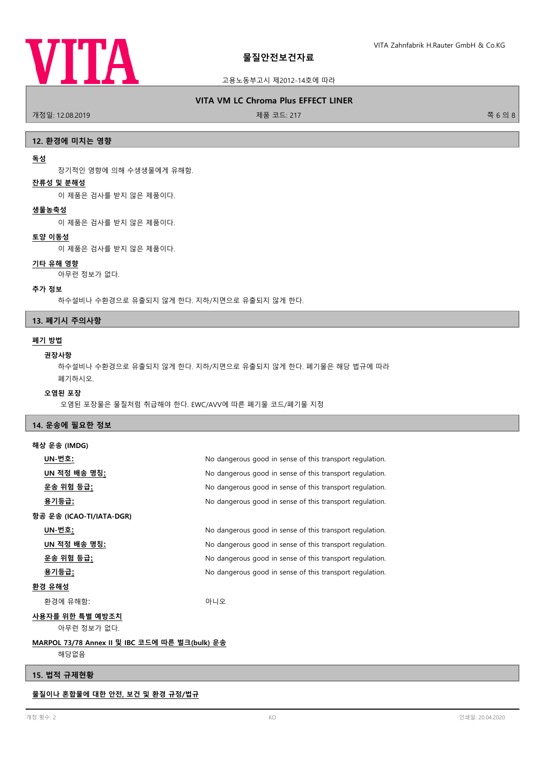

## 고용노동부고시 제2012-14호에 따라

#### **VITA VM LC Chroma Plus EFFECT LINER**

.<br>개정일: 12.08.2019 제품 프로그램을 제공하는 것이 제품 코드: 217 제품 코드: 217 제품 코드: 217 제품 코드: 217 제품 기능 기능 기능 기능 기능 및 ASI ASI ASI A

#### **12. 환경에 미치는 영향**

#### **독성**

장기적인 영향에 의해 수생생물에게 유해함.

# **잔류성 및 분해성**

이 제품은 검사를 받지 않은 제품이다.

#### **생물농축성**

이 제품은 검사를 받지 않은 제품이다.

# **토양 이동성**

이 제품은 검사를 받지 않은 제품이다.

#### **기타 유해 영향**

아무런 정보가 없다.

#### **추가 정보**

하수설비나 수환경으로 유출되지 않게 한다. 지하/지면으로 유출되지 않게 한다.

# **13. 폐기시 주의사항**

## **폐기 방법**

#### **권장사항**

하수설비나 수환경으로 유출되지 않게 한다. 지하/지면으로 유출되지 않게 한다. 폐기물은 해당 법규에 따라 폐기하시오.

#### **오염된 포장**

오염된 포장물은 물질처럼 취급해야 한다. EWC/AVV에 따른 폐기물 코드/폐기물 지정

# **14. 운송에 필요한 정보**

| 해상 운송 (IMDG)             |                                                          |
|--------------------------|----------------------------------------------------------|
| UN-번호:                   | No dangerous good in sense of this transport regulation. |
| UN 적정 배송 명칭:             | No dangerous good in sense of this transport regulation. |
| <u>운송 위험 등급:</u>         | No dangerous good in sense of this transport regulation. |
| <u>용기등급:</u>             | No dangerous good in sense of this transport regulation. |
| 항공 운송 (ICAO-TI/IATA-DGR) |                                                          |
| UN-번호:                   | No dangerous good in sense of this transport regulation. |
| UN 적정 배송 명칭 <u>:</u>     | No dangerous good in sense of this transport regulation. |
| <u>운송 위험 등급:</u>         | No dangerous good in sense of this transport regulation. |
| <u>용기등급:</u>             | No dangerous good in sense of this transport regulation. |
| 환경 유해성                   |                                                          |
| 환경에 유해함:                 | 아니오                                                      |
| 사요자를 의하 트변 예반조치          |                                                          |

#### **사용자를 위한 특별 예방조치**

아무런 정보가 없다.

# **MARPOL 73/78 Annex II 및 IBC 코드에 따른 벌크(bulk) 운송**

해당없음

# **15. 법적 규제현황**

**물질이나 혼합물에 대한 안전, 보건 및 환경 규정/법규**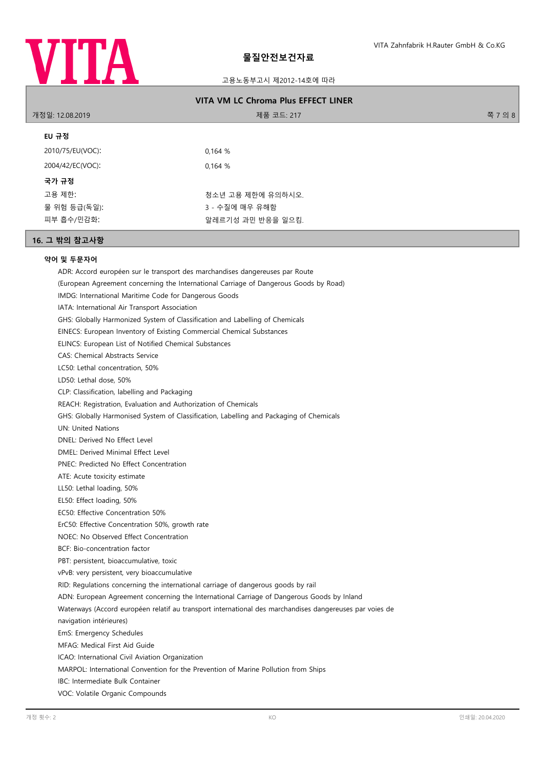

# 고용노동부고시 제2012-14호에 따라

| <b>VITA VM LC Chroma Plus EFFECT LINER</b> |                   |         |
|--------------------------------------------|-------------------|---------|
| 개정일: 12.08.2019                            | 제품 코드: 217        | 쪽 7 의 8 |
| EU 규정                                      |                   |         |
| 2010/75/EU(VOC):                           | 0.164%            |         |
| 2004/42/EC(VOC):                           | 0.164%            |         |
| 국가 규정                                      |                   |         |
| 고용 제한:                                     | 청소년 고용 제한에 유의하시오. |         |
| 물 위험 등급(독일):                               | 3 - 수질에 매우 유해함    |         |
| 피부 흡수/민감화:                                 | 알레르기성 과민 반응을 일으킴. |         |
|                                            |                   |         |

# **16. 그 밖의 참고사항**

# **약어 및 두문자어**

ADR: Accord européen sur le transport des marchandises dangereuses par Route (European Agreement concerning the International Carriage of Dangerous Goods by Road) IMDG: International Maritime Code for Dangerous Goods IATA: International Air Transport Association GHS: Globally Harmonized System of Classification and Labelling of Chemicals EINECS: European Inventory of Existing Commercial Chemical Substances ELINCS: European List of Notified Chemical Substances CAS: Chemical Abstracts Service LC50: Lethal concentration, 50% LD50: Lethal dose, 50% CLP: Classification, labelling and Packaging REACH: Registration, Evaluation and Authorization of Chemicals GHS: Globally Harmonised System of Classification, Labelling and Packaging of Chemicals UN: United Nations DNEL: Derived No Effect Level DMEL: Derived Minimal Effect Level PNEC: Predicted No Effect Concentration ATE: Acute toxicity estimate LL50: Lethal loading, 50% EL50: Effect loading, 50% EC50: Effective Concentration 50% ErC50: Effective Concentration 50%, growth rate NOEC: No Observed Effect Concentration BCF: Bio-concentration factor PBT: persistent, bioaccumulative, toxic vPvB: very persistent, very bioaccumulative RID: Regulations concerning the international carriage of dangerous goods by rail ADN: European Agreement concerning the International Carriage of Dangerous Goods by Inland Waterways (Accord européen relatif au transport international des marchandises dangereuses par voies de navigation intérieures) EmS: Emergency Schedules MFAG: Medical First Aid Guide ICAO: International Civil Aviation Organization MARPOL: International Convention for the Prevention of Marine Pollution from Ships IBC: Intermediate Bulk Container VOC: Volatile Organic Compounds 개정 횟수: 2 KO 인쇄일: 20.04.2020 A RESERVE A RESERVE A RESERVE A RESERVE A RESERVE A RESERVE A RESERVE A RESERVE A R